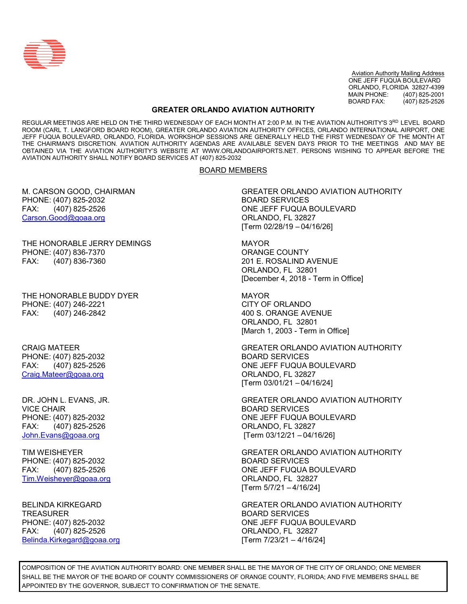

Aviation Authority Mailing Address ONE JEFF FUQUA BOULEVARD ORLANDO, FLORIDA 32827-4399<br>MAIN PHONE: (407) 825-2001 (407) 825-2001 BOARD FAX: (407) 825-2526

## **GREATER ORLANDO AVIATION AUTHORITY**

REGULAR MEETINGS ARE HELD ON THE THIRD WEDNESDAY OF EACH MONTH AT 2:00 P.M. IN THE AVIATION AUTHORITY'S 3RD LEVEL BOARD ROOM (CARL T. LANGFORD BOARD ROOM), GREATER ORLANDO AVIATION AUTHORITY OFFICES, ORLANDO INTERNATIONAL AIRPORT, ONE JEFF FUQUA BOULEVARD, ORLANDO, FLORIDA. WORKSHOP SESSIONS ARE GENERALLY HELD THE FIRST WEDNESDAY OF THE MONTH AT THE CHAIRMAN'S DISCRETION. AVIATION AUTHORITY AGENDAS ARE AVAILABLE SEVEN DAYS PRIOR TO THE MEETINGS AND MAY BE OBTAINED VIA THE AVIATION AUTHORITY'S WEBSITE AT [WWW.ORLANDOAIRPORTS.NET.](http://www.orlandoairports.net/) PERSONS WISHING TO APPEAR BEFORE THE AVIATION AUTHORITY SHALL NOTIFY BOARD SERVICES AT (407) 825-2032

#### BOARD MEMBERS

PHONE: (407) 825-2032 BOARD SERVICES [Carson.Good@goaa.org](mailto:Carson.Good@goaa.org)

THE HONORABLE JERRY DEMINGS **MAYOR** PHONE: (407) 836-7370 CRANGE COUNTY FAX: (407) 836-7360 201 E. ROSALIND AVENUE

THE HONORABLE BUDDY DYER THE MAYOR PHONE: (407) 246-2221 CITY OF ORLANDO FAX: (407) 246-2842 400 S. ORANGE AVENUE

PHONE: (407) 825-2032 BOARD SERVICES [Craig.Mateer@goaa.org](mailto:Craig.Mateer@goaa.org) Craig.Craig.Mateer@goaa.org CRLANDO, FL 32827

VICE CHAIR BOARD SERVICES FAX: (407) 825-2526 ORLANDO, FL 32827

PHONE: (407) 825-2032 BOARD SERVICES [Tim.Weisheyer@goaa.org](mailto:Tim.Weisheyer@goaa.org) ORLANDO, FL 32827

TREASURER BOARD SERVICES FAX: (407) 825-2526 ORLANDO, FL 32827 [Belinda.Kirkegard@goaa.org](mailto:Belinda.Kirkegard@goaa.org) [Term 7/23/21 – 4/16/24]

M. CARSON GOOD, CHAIRMAN GREATER ORLANDO AVIATION AUTHORITY FAX: (407) 825-2526 ONE JEFF FUQUA BOULEVARD [Term 02/28/19 – 04/16/26]

> ORLANDO, FL 32801 [December 4, 2018 - Term in Office]

ORLANDO, FL 32801 [March 1, 2003 - Term in Office]

CRAIG MATEER GREATER ORLANDO AVIATION AUTHORITY FAX: (407) 825-2526 ONE JEFF FUQUA BOULEVARD [Term 03/01/21 – 04/16/24]

DR. JOHN L. EVANS, JR. GREATER ORLANDO AVIATION AUTHORITY PHONE: (407) 825-2032 CHEEF FUQUA BOULEVARD [John.Evans@goaa.org](mailto:John.Evans@goaa.org) [Term 03/12/21 – 04/16/26]

TIM WEISHEYER GREATER ORLANDO AVIATION AUTHORITY FAX: (407) 825-2526 ONE JEFF FUQUA BOULEVARD [Term 5/7/21 – 4/16/24]

BELINDA KIRKEGARD GREATER ORLANDO AVIATION AUTHORITY PHONE: (407) 825-2032 ONE JEFF FUQUA BOULEVARD

COMPOSITION OF THE AVIATION AUTHORITY BOARD: ONE MEMBER SHALL BE THE MAYOR OF THE CITY OF ORLANDO; ONE MEMBER SHALL BE THE MAYOR OF THE BOARD OF COUNTY COMMISSIONERS OF ORANGE COUNTY, FLORIDA; AND FIVE MEMBERS SHALL BE APPOINTED BY THE GOVERNOR, SUBJECT TO CONFIRMATION OF THE SENATE.